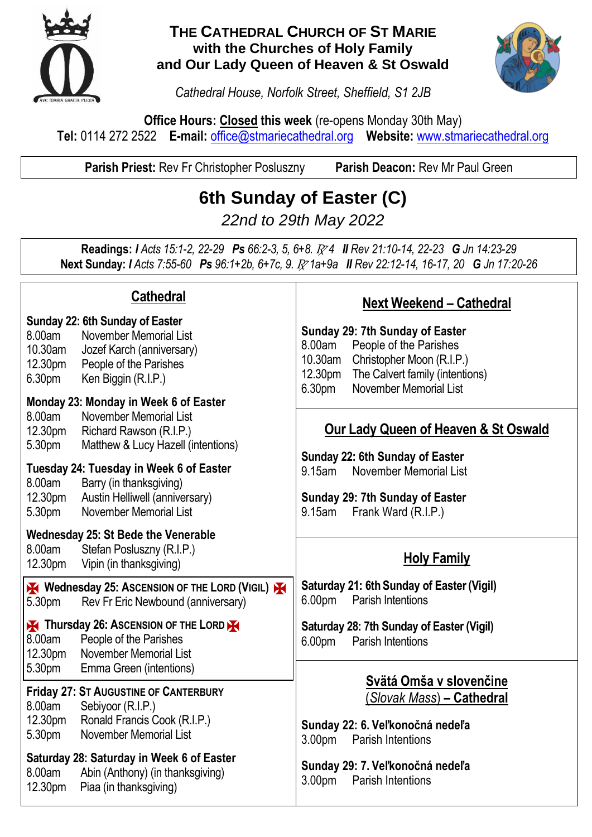

### **THE CATHEDRAL CHURCH OF ST MARIE with the Churches of Holy Family and Our Lady Queen of Heaven & St Oswald**



*Cathedral House, Norfolk Street, Sheffield, S1 2JB*

**Office Hours: Closed this week** (re-opens Monday 30th May) **Tel:** 0114 272 2522 **E-mail:** [office@stmariecathedral.org](mailto:office@stmariecathedral.org) **Website:** [www.stmariecathedral.org](http://www.stmariecathedral.org/)

**Parish Priest:** Rev Fr Christopher Posluszny **Parish Deacon:** Rev Mr Paul Green

**6th Sunday of Easter (C)**

*22nd to 29th May 2022*

**Readings:** *I Acts 15:1-2, 22-29 Ps 66:2-3, 5, 6+8.* R *4 II Rev 21:10-14, 22-23 G Jn 14:23-29* **Next Sunday:** *I Acts 7:55-60 Ps 96:1+2b, 6+7c, 9.* R *1a+9a II Rev 22:12-14, 16-17, 20 G Jn 17:20-26*

| <b>Cathedral</b>                                                                                                                                                                                                           | <b>Next Weekend - Cathedral</b>                                                                                                                                                                                  |
|----------------------------------------------------------------------------------------------------------------------------------------------------------------------------------------------------------------------------|------------------------------------------------------------------------------------------------------------------------------------------------------------------------------------------------------------------|
| Sunday 22: 6th Sunday of Easter<br>8.00am<br>November Memorial List<br>10.30am<br>Jozef Karch (anniversary)<br>People of the Parishes<br>12.30pm<br>6.30pm<br>Ken Biggin (R.I.P.)<br>Monday 23: Monday in Week 6 of Easter | Sunday 29: 7th Sunday of Easter<br>People of the Parishes<br>8.00am<br>10.30am<br>Christopher Moon (R.I.P.)<br>12.30pm<br>The Calvert family (intentions)<br><b>November Memorial List</b><br>6.30 <sub>pm</sub> |
| 8.00am<br>November Memorial List<br>12.30pm<br>Richard Rawson (R.I.P.)<br>5.30pm<br>Matthew & Lucy Hazell (intentions)                                                                                                     | <b>Our Lady Queen of Heaven &amp; St Oswald</b><br>Sunday 22: 6th Sunday of Easter                                                                                                                               |
| Tuesday 24: Tuesday in Week 6 of Easter<br>8.00am<br>Barry (in thanksgiving)<br>12.30pm<br>Austin Helliwell (anniversary)<br>November Memorial List<br>5.30pm                                                              | <b>November Memorial List</b><br>9.15am<br>Sunday 29: 7th Sunday of Easter<br>Frank Ward (R.I.P.)<br>9.15am                                                                                                      |
| <b>Wednesday 25: St Bede the Venerable</b><br>Stefan Posluszny (R.I.P.)<br>8.00am<br>12.30pm<br>Vipin (in thanksgiving)                                                                                                    | <b>Holy Family</b>                                                                                                                                                                                               |
| Wednesday 25: ASCENSION OF THE LORD (VIGIL)<br>Rev Fr Eric Newbound (anniversary)<br>5.30pm                                                                                                                                | Saturday 21: 6th Sunday of Easter (Vigil)<br>6.00 <sub>pm</sub><br><b>Parish Intentions</b>                                                                                                                      |
| Thursday 26: ASCENSION OF THE LORD<br>8.00am<br>People of the Parishes<br>12.30pm<br><b>November Memorial List</b>                                                                                                         | Saturday 28: 7th Sunday of Easter (Vigil)<br>6.00pm<br><b>Parish Intentions</b>                                                                                                                                  |
| 5.30pm<br>Emma Green (intentions)<br><b>Friday 27: ST AUGUSTINE OF CANTERBURY</b><br>8.00am<br>Sebiyoor (R.I.P.)<br>12.30pm<br>Ronald Francis Cook (R.I.P.)<br><b>November Memorial List</b><br>5.30pm                     | Svätá Omša v slovenčine<br>(Slovak Mass) - Cathedral<br>Sunday 22: 6. Veľkonočná nedeľa<br>3.00 <sub>pm</sub><br><b>Parish Intentions</b>                                                                        |
| Saturday 28: Saturday in Week 6 of Easter<br>Abin (Anthony) (in thanksgiving)<br>8.00am<br>Piaa (in thanksgiving)<br>12.30pm                                                                                               | Sunday 29: 7. Veľkonočná nedeľa<br>3.00 <sub>pm</sub><br><b>Parish Intentions</b>                                                                                                                                |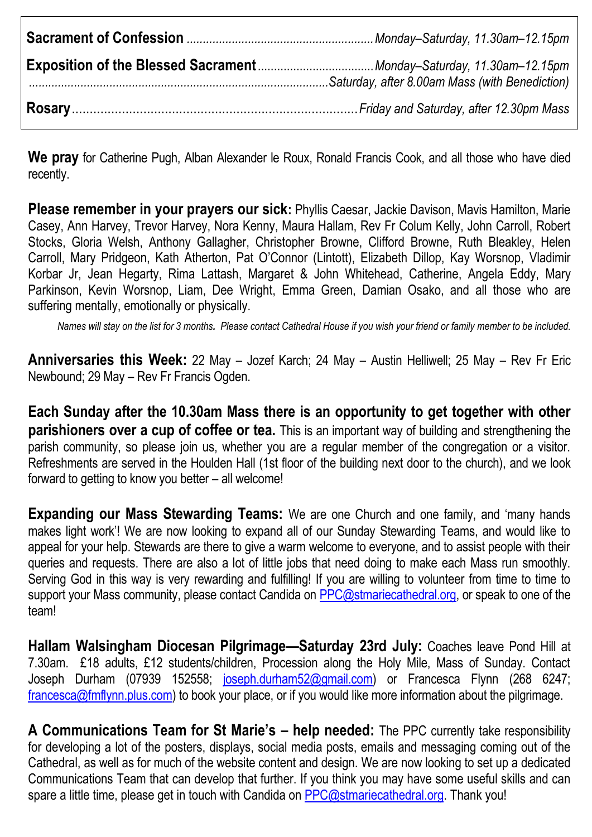**We pray** for Catherine Pugh, Alban Alexander le Roux, Ronald Francis Cook, and all those who have died recently.

**Please remember in your prayers our sick:** Phyllis Caesar, Jackie Davison, Mavis Hamilton, Marie Casey, Ann Harvey, Trevor Harvey, Nora Kenny, Maura Hallam, Rev Fr Colum Kelly, John Carroll, Robert Stocks, Gloria Welsh, Anthony Gallagher, Christopher Browne, Clifford Browne, Ruth Bleakley, Helen Carroll, Mary Pridgeon, Kath Atherton, Pat O'Connor (Lintott), Elizabeth Dillop, Kay Worsnop, Vladimir Korbar Jr, Jean Hegarty, Rima Lattash, Margaret & John Whitehead, Catherine, Angela Eddy, Mary Parkinson, Kevin Worsnop, Liam, Dee Wright, Emma Green, Damian Osako, and all those who are suffering mentally, emotionally or physically.

*Names will stay on the list for 3 months. Please contact Cathedral House if you wish your friend or family member to be included.*

**Anniversaries this Week:** 22 May – Jozef Karch; 24 May – Austin Helliwell; 25 May – Rev Fr Eric Newbound; 29 May – Rev Fr Francis Ogden.

**Each Sunday after the 10.30am Mass there is an opportunity to get together with other parishioners over a cup of coffee or tea.** This is an important way of building and strengthening the parish community, so please join us, whether you are a regular member of the congregation or a visitor. Refreshments are served in the Houlden Hall (1st floor of the building next door to the church), and we look forward to getting to know you better – all welcome!

**Expanding our Mass Stewarding Teams:** We are one Church and one family, and 'many hands makes light work'! We are now looking to expand all of our Sunday Stewarding Teams, and would like to appeal for your help. Stewards are there to give a warm welcome to everyone, and to assist people with their queries and requests. There are also a lot of little jobs that need doing to make each Mass run smoothly. Serving God in this way is very rewarding and fulfilling! If you are willing to volunteer from time to time to support your Mass community, please contact Candida on [PPC@stmariecathedral.org,](mailto:PPC@stmariecathedral.org) or speak to one of the team!

**Hallam Walsingham Diocesan Pilgrimage—Saturday 23rd July:** Coaches leave Pond Hill at 7.30am. £18 adults, £12 students/children, Procession along the Holy Mile, Mass of Sunday. Contact Joseph Durham (07939 152558; [joseph.durham52@gmail.com\)](mailto:joseph.durham52@gmail.com) or Francesca Flynn (268 6247; [francesca@fmflynn.plus.com\)](mailto:francesca@fmflynn.plus.com) to book your place, or if you would like more information about the pilgrimage.

**A Communications Team for St Marie's – help needed:** The PPC currently take responsibility for developing a lot of the posters, displays, social media posts, emails and messaging coming out of the Cathedral, as well as for much of the website content and design. We are now looking to set up a dedicated Communications Team that can develop that further. If you think you may have some useful skills and can spare a little time, please get in touch with Candida on [PPC@stmariecathedral.org.](mailto:PPC@stmariecathedral.org) Thank you!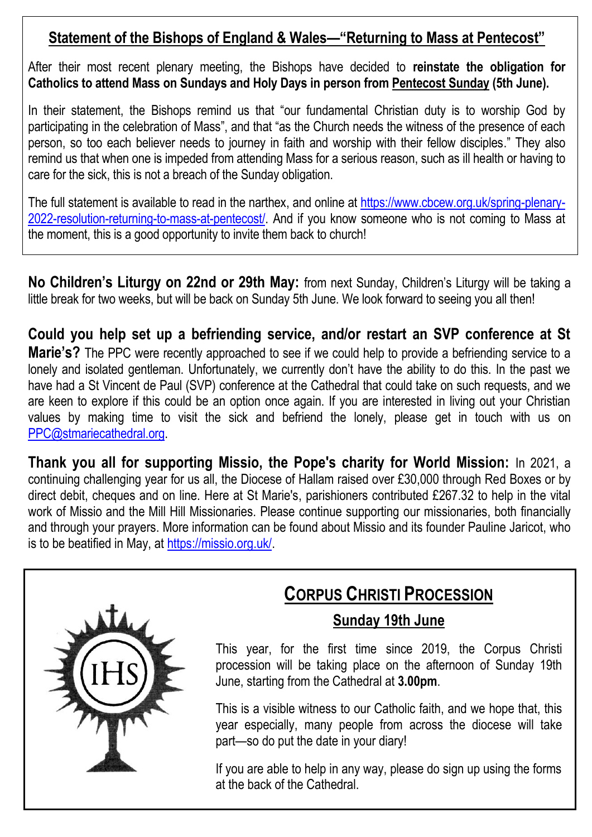# **Statement of the Bishops of England & Wales—"Returning to Mass at Pentecost"**

After their most recent plenary meeting, the Bishops have decided to **reinstate the obligation for Catholics to attend Mass on Sundays and Holy Days in person from Pentecost Sunday (5th June).**

In their statement, the Bishops remind us that "our fundamental Christian duty is to worship God by participating in the celebration of Mass", and that "as the Church needs the witness of the presence of each person, so too each believer needs to journey in faith and worship with their fellow disciples." They also remind us that when one is impeded from attending Mass for a serious reason, such as ill health or having to care for the sick, this is not a breach of the Sunday obligation.

The full statement is available to read in the narthex, and online at [https://www.cbcew.org.uk/spring-plenary-](https://www.cbcew.org.uk/spring-plenary-2022-resolution-returning-to-mass-at-pentecost/)[2022-resolution-returning-to-mass-at-pentecost/.](https://www.cbcew.org.uk/spring-plenary-2022-resolution-returning-to-mass-at-pentecost/) And if you know someone who is not coming to Mass at the moment, this is a good opportunity to invite them back to church!

**No Children's Liturgy on 22nd or 29th May:** from next Sunday, Children's Liturgy will be taking a little break for two weeks, but will be back on Sunday 5th June. We look forward to seeing you all then!

**Could you help set up a befriending service, and/or restart an SVP conference at St Marie's?** The PPC were recently approached to see if we could help to provide a befriending service to a lonely and isolated gentleman. Unfortunately, we currently don't have the ability to do this. In the past we have had a St Vincent de Paul (SVP) conference at the Cathedral that could take on such requests, and we are keen to explore if this could be an option once again. If you are interested in living out your Christian values by making time to visit the sick and befriend the lonely, please get in touch with us on [PPC@stmariecathedral.org.](mailto:PPC@stmariecathedral.org)

**Thank you all for supporting Missio, the Pope's charity for World Mission:** In 2021, a continuing challenging year for us all, the Diocese of Hallam raised over £30,000 through Red Boxes or by direct debit, cheques and on line. Here at St Marie's, parishioners contributed £267.32 to help in the vital work of Missio and the Mill Hill Missionaries. Please continue supporting our missionaries, both financially and through your prayers. More information can be found about Missio and its founder Pauline Jaricot, who is to be beatified in May, at [https://missio.org.uk/.](https://missio.org.uk/)



# **CORPUS CHRISTI PROCESSION**

## **Sunday 19th June**

This year, for the first time since 2019, the Corpus Christi procession will be taking place on the afternoon of Sunday 19th June, starting from the Cathedral at **3.00pm**.

This is a visible witness to our Catholic faith, and we hope that, this year especially, many people from across the diocese will take part—so do put the date in your diary!

If you are able to help in any way, please do sign up using the forms at the back of the Cathedral.